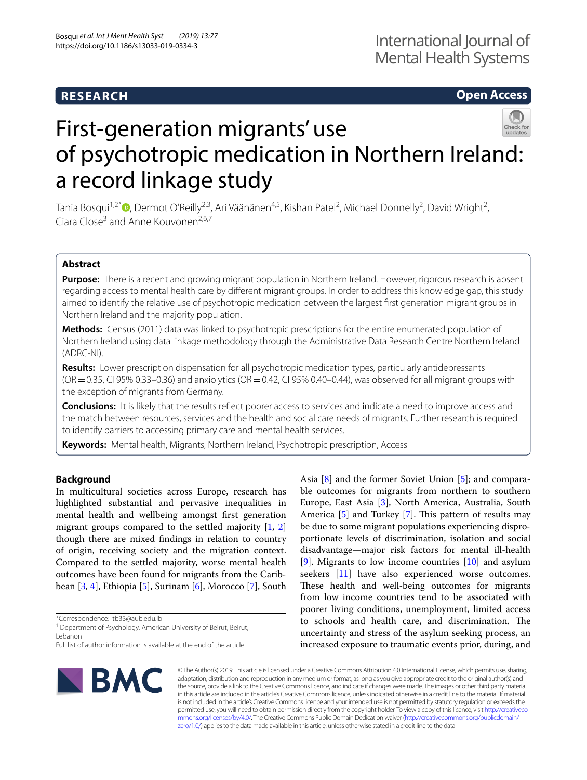# **RESEARCH**

# **Open Access**



# First-generation migrants' use of psychotropic medication in Northern Ireland: a record linkage study

Tania Bosqui<sup>1,2\*</sup>®[,](http://orcid.org/0000-0002-7376-5405) Dermot O'Reilly<sup>2,3</sup>, Ari Väänänen<sup>4,5</sup>, Kishan Patel<sup>2</sup>, Michael Donnelly<sup>2</sup>, David Wright<sup>2</sup>, Ciara Close<sup>3</sup> and Anne Kouvonen<sup>2,6,7</sup>

# **Abstract**

Purpose: There is a recent and growing migrant population in Northern Ireland. However, rigorous research is absent regarding access to mental health care by diferent migrant groups. In order to address this knowledge gap, this study aimed to identify the relative use of psychotropic medication between the largest frst generation migrant groups in Northern Ireland and the majority population.

**Methods:** Census (2011) data was linked to psychotropic prescriptions for the entire enumerated population of Northern Ireland using data linkage methodology through the Administrative Data Research Centre Northern Ireland (ADRC-NI).

**Results:** Lower prescription dispensation for all psychotropic medication types, particularly antidepressants  $(OR = 0.35, CI$  95% 0.33–0.36) and anxiolytics  $(OR = 0.42, CI$  95% 0.40–0.44), was observed for all migrant groups with the exception of migrants from Germany.

**Conclusions:** It is likely that the results refect poorer access to services and indicate a need to improve access and the match between resources, services and the health and social care needs of migrants. Further research is required to identify barriers to accessing primary care and mental health services.

**Keywords:** Mental health, Migrants, Northern Ireland, Psychotropic prescription, Access

## **Background**

In multicultural societies across Europe, research has highlighted substantial and pervasive inequalities in mental health and wellbeing amongst frst generation migrant groups compared to the settled majority [\[1](#page-7-0), [2](#page-7-1)] though there are mixed fndings in relation to country of origin, receiving society and the migration context. Compared to the settled majority, worse mental health outcomes have been found for migrants from the Caribbean [\[3,](#page-7-2) [4\]](#page-7-3), Ethiopia [\[5](#page-7-4)], Surinam [[6\]](#page-7-5), Morocco [\[7](#page-7-6)], South

\*Correspondence: tb33@aub.edu.lb

<sup>1</sup> Department of Psychology, American University of Beirut, Beirut, Lebanon

Full list of author information is available at the end of the article



Asia [\[8](#page-7-7)] and the former Soviet Union [\[5](#page-7-4)]; and comparable outcomes for migrants from northern to southern Europe, East Asia [\[3](#page-7-2)], North America, Australia, South America  $[5]$  $[5]$  and Turkey  $[7]$  $[7]$ . This pattern of results may be due to some migrant populations experiencing disproportionate levels of discrimination, isolation and social disadvantage—major risk factors for mental ill-health [[9\]](#page-7-8). Migrants to low income countries [[10](#page-7-9)] and asylum seekers [[11\]](#page-7-10) have also experienced worse outcomes. These health and well-being outcomes for migrants from low income countries tend to be associated with poorer living conditions, unemployment, limited access to schools and health care, and discrimination. The uncertainty and stress of the asylum seeking process, an increased exposure to traumatic events prior, during, and

© The Author(s) 2019. This article is licensed under a Creative Commons Attribution 4.0 International License, which permits use, sharing, adaptation, distribution and reproduction in any medium or format, as long as you give appropriate credit to the original author(s) and the source, provide a link to the Creative Commons licence, and indicate if changes were made. The images or other third party material in this article are included in the article's Creative Commons licence, unless indicated otherwise in a credit line to the material. If material is not included in the article's Creative Commons licence and your intended use is not permitted by statutory regulation or exceeds the permitted use, you will need to obtain permission directly from the copyright holder. To view a copy of this licence, visit [http://creativeco](http://creativecommons.org/licenses/by/4.0/) [mmons.org/licenses/by/4.0/.](http://creativecommons.org/licenses/by/4.0/) The Creative Commons Public Domain Dedication waiver ([http://creativecommons.org/publicdomain/](http://creativecommons.org/publicdomain/zero/1.0/) [zero/1.0/\)](http://creativecommons.org/publicdomain/zero/1.0/) applies to the data made available in this article, unless otherwise stated in a credit line to the data.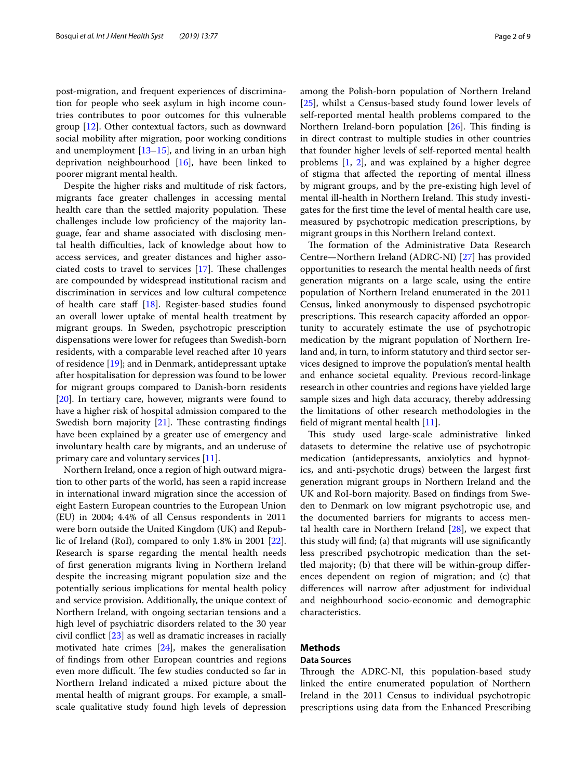post-migration, and frequent experiences of discrimination for people who seek asylum in high income countries contributes to poor outcomes for this vulnerable group [\[12](#page-7-11)]. Other contextual factors, such as downward social mobility after migration, poor working conditions and unemployment  $[13–15]$  $[13–15]$ , and living in an urban high deprivation neighbourhood [\[16](#page-8-1)], have been linked to poorer migrant mental health.

Despite the higher risks and multitude of risk factors, migrants face greater challenges in accessing mental health care than the settled majority population. These challenges include low proficiency of the majority language, fear and shame associated with disclosing mental health difficulties, lack of knowledge about how to access services, and greater distances and higher associated costs to travel to services  $[17]$ . These challenges are compounded by widespread institutional racism and discrimination in services and low cultural competence of health care staff  $[18]$  $[18]$ . Register-based studies found an overall lower uptake of mental health treatment by migrant groups. In Sweden, psychotropic prescription dispensations were lower for refugees than Swedish-born residents, with a comparable level reached after 10 years of residence [\[19](#page-8-4)]; and in Denmark, antidepressant uptake after hospitalisation for depression was found to be lower for migrant groups compared to Danish-born residents [[20\]](#page-8-5). In tertiary care, however, migrants were found to have a higher risk of hospital admission compared to the Swedish born majority  $[21]$ . These contrasting findings have been explained by a greater use of emergency and involuntary health care by migrants, and an underuse of primary care and voluntary services [\[11](#page-7-10)].

Northern Ireland, once a region of high outward migration to other parts of the world, has seen a rapid increase in international inward migration since the accession of eight Eastern European countries to the European Union (EU) in 2004; 4.4% of all Census respondents in 2011 were born outside the United Kingdom (UK) and Republic of Ireland (RoI), compared to only 1.8% in 2001 [\[22](#page-8-7)]. Research is sparse regarding the mental health needs of frst generation migrants living in Northern Ireland despite the increasing migrant population size and the potentially serious implications for mental health policy and service provision. Additionally, the unique context of Northern Ireland, with ongoing sectarian tensions and a high level of psychiatric disorders related to the 30 year civil confict [\[23](#page-8-8)] as well as dramatic increases in racially motivated hate crimes [[24\]](#page-8-9), makes the generalisation of fndings from other European countries and regions even more difficult. The few studies conducted so far in Northern Ireland indicated a mixed picture about the mental health of migrant groups. For example, a smallscale qualitative study found high levels of depression among the Polish-born population of Northern Ireland [[25\]](#page-8-10), whilst a Census-based study found lower levels of self-reported mental health problems compared to the Northern Ireland-born population  $[26]$  $[26]$ . This finding is in direct contrast to multiple studies in other countries that founder higher levels of self-reported mental health problems [\[1](#page-7-0), [2\]](#page-7-1), and was explained by a higher degree of stigma that afected the reporting of mental illness by migrant groups, and by the pre-existing high level of mental ill-health in Northern Ireland. This study investigates for the frst time the level of mental health care use, measured by psychotropic medication prescriptions, by migrant groups in this Northern Ireland context.

The formation of the Administrative Data Research Centre—Northern Ireland (ADRC-NI) [\[27](#page-8-12)] has provided opportunities to research the mental health needs of frst generation migrants on a large scale, using the entire population of Northern Ireland enumerated in the 2011 Census, linked anonymously to dispensed psychotropic prescriptions. This research capacity afforded an opportunity to accurately estimate the use of psychotropic medication by the migrant population of Northern Ireland and, in turn, to inform statutory and third sector services designed to improve the population's mental health and enhance societal equality. Previous record-linkage research in other countries and regions have yielded large sample sizes and high data accuracy, thereby addressing the limitations of other research methodologies in the feld of migrant mental health [[11](#page-7-10)].

This study used large-scale administrative linked datasets to determine the relative use of psychotropic medication (antidepressants, anxiolytics and hypnotics, and anti-psychotic drugs) between the largest frst generation migrant groups in Northern Ireland and the UK and RoI-born majority. Based on fndings from Sweden to Denmark on low migrant psychotropic use, and the documented barriers for migrants to access mental health care in Northern Ireland [\[28](#page-8-13)], we expect that this study will fnd; (a) that migrants will use signifcantly less prescribed psychotropic medication than the settled majority; (b) that there will be within-group diferences dependent on region of migration; and (c) that diferences will narrow after adjustment for individual and neighbourhood socio-economic and demographic characteristics.

#### **Methods**

# **Data Sources**

Through the ADRC-NI, this population-based study linked the entire enumerated population of Northern Ireland in the 2011 Census to individual psychotropic prescriptions using data from the Enhanced Prescribing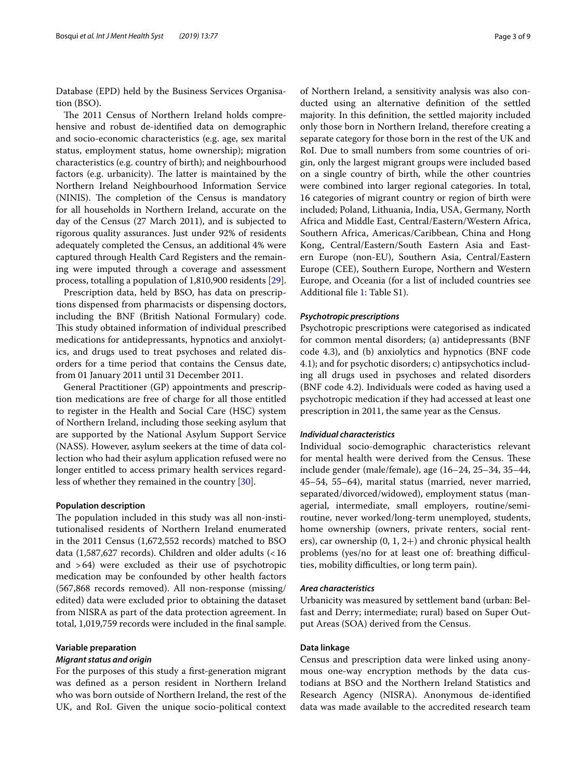Database (EPD) held by the Business Services Organisation (BSO).

The 2011 Census of Northern Ireland holds comprehensive and robust de-identifed data on demographic and socio-economic characteristics (e.g. age, sex marital status, employment status, home ownership); migration characteristics (e.g. country of birth); and neighbourhood factors (e.g. urbanicity). The latter is maintained by the Northern Ireland Neighbourhood Information Service (NINIS). The completion of the Census is mandatory for all households in Northern Ireland, accurate on the day of the Census (27 March 2011), and is subjected to rigorous quality assurances. Just under 92% of residents adequately completed the Census, an additional 4% were captured through Health Card Registers and the remaining were imputed through a coverage and assessment process, totalling a population of 1,810,900 residents [\[29](#page-8-14)].

Prescription data, held by BSO, has data on prescriptions dispensed from pharmacists or dispensing doctors, including the BNF (British National Formulary) code. This study obtained information of individual prescribed medications for antidepressants, hypnotics and anxiolytics, and drugs used to treat psychoses and related disorders for a time period that contains the Census date, from 01 January 2011 until 31 December 2011.

General Practitioner (GP) appointments and prescription medications are free of charge for all those entitled to register in the Health and Social Care (HSC) system of Northern Ireland, including those seeking asylum that are supported by the National Asylum Support Service (NASS). However, asylum seekers at the time of data collection who had their asylum application refused were no longer entitled to access primary health services regardless of whether they remained in the country [\[30](#page-8-15)].

#### **Population description**

The population included in this study was all non-institutionalised residents of Northern Ireland enumerated in the 2011 Census (1,672,552 records) matched to BSO data (1,587,627 records). Children and older adults (<16 and >64) were excluded as their use of psychotropic medication may be confounded by other health factors (567,868 records removed). All non-response (missing/ edited) data were excluded prior to obtaining the dataset from NISRA as part of the data protection agreement. In total, 1,019,759 records were included in the fnal sample.

# **Variable preparation**

# *Migrant status and origin*

For the purposes of this study a frst-generation migrant was defned as a person resident in Northern Ireland who was born outside of Northern Ireland, the rest of the UK, and RoI. Given the unique socio-political context of Northern Ireland, a sensitivity analysis was also conducted using an alternative defnition of the settled majority. In this defnition, the settled majority included only those born in Northern Ireland, therefore creating a separate category for those born in the rest of the UK and RoI. Due to small numbers from some countries of origin, only the largest migrant groups were included based on a single country of birth, while the other countries were combined into larger regional categories. In total, 16 categories of migrant country or region of birth were included; Poland, Lithuania, India, USA, Germany, North Africa and Middle East, Central/Eastern/Western Africa, Southern Africa, Americas/Caribbean, China and Hong Kong, Central/Eastern/South Eastern Asia and Eastern Europe (non-EU), Southern Asia, Central/Eastern Europe (CEE), Southern Europe, Northern and Western Europe, and Oceania (for a list of included countries see Additional fle [1](#page-7-13): Table S1).

#### *Psychotropic prescriptions*

Psychotropic prescriptions were categorised as indicated for common mental disorders; (a) antidepressants (BNF code 4.3), and (b) anxiolytics and hypnotics (BNF code 4.1); and for psychotic disorders; c) antipsychotics including all drugs used in psychoses and related disorders (BNF code 4.2). Individuals were coded as having used a psychotropic medication if they had accessed at least one prescription in 2011, the same year as the Census.

#### *Individual characteristics*

Individual socio-demographic characteristics relevant for mental health were derived from the Census. These include gender (male/female), age (16–24, 25–34, 35–44, 45–54, 55–64), marital status (married, never married, separated/divorced/widowed), employment status (managerial, intermediate, small employers, routine/semiroutine, never worked/long-term unemployed, students, home ownership (owners, private renters, social renters), car ownership (0, 1, 2+) and chronic physical health problems (yes/no for at least one of: breathing difficulties, mobility difficulties, or long term pain).

#### *Area characteristics*

Urbanicity was measured by settlement band (urban: Belfast and Derry; intermediate; rural) based on Super Output Areas (SOA) derived from the Census.

#### **Data linkage**

Census and prescription data were linked using anonymous one-way encryption methods by the data custodians at BSO and the Northern Ireland Statistics and Research Agency (NISRA). Anonymous de-identifed data was made available to the accredited research team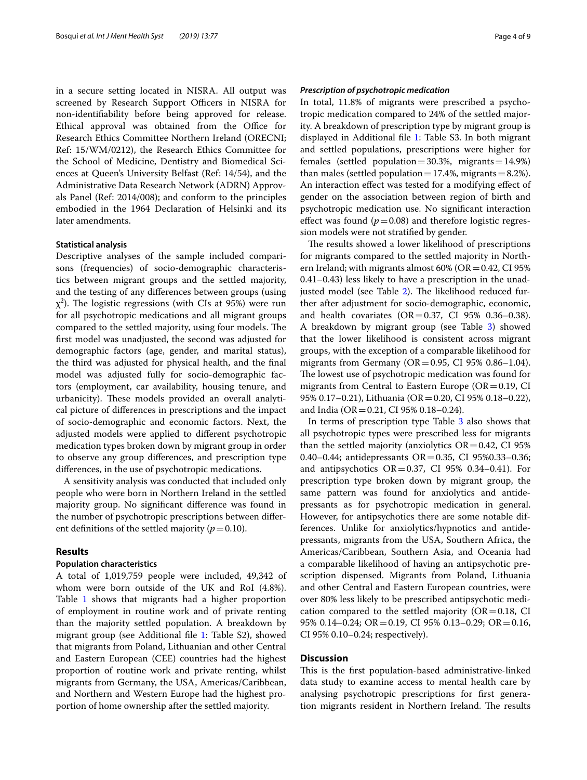in a secure setting located in NISRA. All output was screened by Research Support Officers in NISRA for non-identifability before being approved for release. Ethical approval was obtained from the Office for Research Ethics Committee Northern Ireland (ORECNI; Ref: 15/WM/0212), the Research Ethics Committee for the School of Medicine, Dentistry and Biomedical Sciences at Queen's University Belfast (Ref: 14/54), and the Administrative Data Research Network (ADRN) Approvals Panel (Ref: 2014/008); and conform to the principles embodied in the 1964 Declaration of Helsinki and its later amendments.

#### **Statistical analysis**

Descriptive analyses of the sample included comparisons (frequencies) of socio-demographic characteristics between migrant groups and the settled majority, and the testing of any diferences between groups (using  $\chi^2$ ). The logistic regressions (with CIs at 95%) were run for all psychotropic medications and all migrant groups compared to the settled majority, using four models. The frst model was unadjusted, the second was adjusted for demographic factors (age, gender, and marital status), the third was adjusted for physical health, and the fnal model was adjusted fully for socio-demographic factors (employment, car availability, housing tenure, and urbanicity). These models provided an overall analytical picture of diferences in prescriptions and the impact of socio-demographic and economic factors. Next, the adjusted models were applied to diferent psychotropic medication types broken down by migrant group in order to observe any group diferences, and prescription type diferences, in the use of psychotropic medications.

A sensitivity analysis was conducted that included only people who were born in Northern Ireland in the settled majority group. No signifcant diference was found in the number of psychotropic prescriptions between diferent definitions of the settled majority ( $p=0.10$ ).

#### **Results**

#### **Population characteristics**

A total of 1,019,759 people were included, 49,342 of whom were born outside of the UK and RoI (4.8%). Table [1](#page-4-0) shows that migrants had a higher proportion of employment in routine work and of private renting than the majority settled population. A breakdown by migrant group (see Additional fle [1:](#page-7-13) Table S2), showed that migrants from Poland, Lithuanian and other Central and Eastern European (CEE) countries had the highest proportion of routine work and private renting, whilst migrants from Germany, the USA, Americas/Caribbean, and Northern and Western Europe had the highest proportion of home ownership after the settled majority.

#### *Prescription of psychotropic medication*

In total, 11.8% of migrants were prescribed a psychotropic medication compared to 24% of the settled majority. A breakdown of prescription type by migrant group is displayed in Additional fle [1](#page-7-13): Table S3. In both migrant and settled populations, prescriptions were higher for females (settled population= $30.3\%$ , migrants= $14.9\%$ ) than males (settled population =  $17.4\%$ , migrants =  $8.2\%$ ). An interaction efect was tested for a modifying efect of gender on the association between region of birth and psychotropic medication use. No signifcant interaction effect was found  $(p=0.08)$  and therefore logistic regression models were not stratifed by gender.

The results showed a lower likelihood of prescriptions for migrants compared to the settled majority in Northern Ireland; with migrants almost  $60\%$  (OR = 0.42, CI 95%) 0.41–0.43) less likely to have a prescription in the unad-justed model (see Table [2](#page-5-0)). The likelihood reduced further after adjustment for socio-demographic, economic, and health covariates (OR=0.37, CI 95% 0.36-0.38). A breakdown by migrant group (see Table [3\)](#page-6-0) showed that the lower likelihood is consistent across migrant groups, with the exception of a comparable likelihood for migrants from Germany ( $OR = 0.95$ , CI 95% 0.86–1.04). The lowest use of psychotropic medication was found for migrants from Central to Eastern Europe ( $OR = 0.19$ , CI 95% 0.17–0.21), Lithuania (OR=0.20, CI 95% 0.18–0.22), and India (OR = 0.21, CI 95% 0.18–0.24).

In terms of prescription type Table [3](#page-6-0) also shows that all psychotropic types were prescribed less for migrants than the settled majority (anxiolytics  $OR = 0.42$ , CI 95% 0.40–0.44; antidepressants OR=0.35, CI 95%0.33–0.36; and antipsychotics  $OR = 0.37$ , CI 95% 0.34–0.41). For prescription type broken down by migrant group, the same pattern was found for anxiolytics and antidepressants as for psychotropic medication in general. However, for antipsychotics there are some notable differences. Unlike for anxiolytics/hypnotics and antidepressants, migrants from the USA, Southern Africa, the Americas/Caribbean, Southern Asia, and Oceania had a comparable likelihood of having an antipsychotic prescription dispensed. Migrants from Poland, Lithuania and other Central and Eastern European countries, were over 80% less likely to be prescribed antipsychotic medication compared to the settled majority ( $OR = 0.18$ , CI 95% 0.14–0.24; OR=0.19, CI 95% 0.13–0.29; OR=0.16, CI 95% 0.10–0.24; respectively).

#### **Discussion**

This is the first population-based administrative-linked data study to examine access to mental health care by analysing psychotropic prescriptions for frst generation migrants resident in Northern Ireland. The results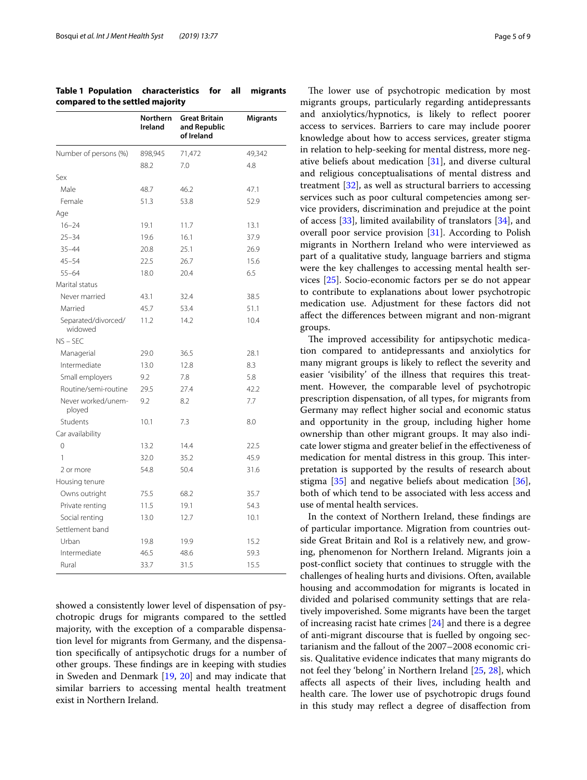<span id="page-4-0"></span>

|                                  | Table 1 Population characteristics for all migrants |  |  |
|----------------------------------|-----------------------------------------------------|--|--|
| compared to the settled majority |                                                     |  |  |

|                                | <b>Northern</b><br><b>Ireland</b> | <b>Great Britain</b><br>and Republic<br>of Ireland | Migrants |
|--------------------------------|-----------------------------------|----------------------------------------------------|----------|
| Number of persons (%)          | 898,945                           | 71,472                                             | 49,342   |
|                                | 88.2                              | 7.0                                                | 4.8      |
| Sex                            |                                   |                                                    |          |
| Male                           | 48.7                              | 46.2                                               | 47.1     |
| Female                         | 51.3                              | 53.8                                               | 52.9     |
| Age                            |                                   |                                                    |          |
| $16 - 24$                      | 19.1                              | 11.7                                               | 13.1     |
| $25 - 34$                      | 19.6                              | 16.1                                               | 37.9     |
| $35 - 44$                      | 20.8                              | 25.1                                               | 26.9     |
| $45 - 54$                      | 22.5                              | 26.7                                               | 15.6     |
| $55 - 64$                      | 18.0                              | 20.4                                               | 6.5      |
| Marital status                 |                                   |                                                    |          |
| Never married                  | 43.1                              | 32.4                                               | 38.5     |
| Married                        | 45.7                              | 53.4                                               | 51.1     |
| Separated/divorced/<br>widowed | 11.2                              | 14.2                                               | 10.4     |
| $NS - SFC$                     |                                   |                                                    |          |
| Managerial                     | 29.0                              | 36.5                                               | 28.1     |
| Intermediate                   | 13.0                              | 12.8                                               | 8.3      |
| Small employers                | 9.2                               | 7.8                                                | 5.8      |
| Routine/semi-routine           | 29.5                              | 27.4                                               | 42.2     |
| Never worked/unem-<br>ployed   | 9.2                               | 8.2                                                | 7.7      |
| Students                       | 10.1                              | 7.3                                                | 8.0      |
| Car availability               |                                   |                                                    |          |
| $\Omega$                       | 13.2                              | 14.4                                               | 22.5     |
| 1                              | 32.0                              | 35.2                                               | 45.9     |
| 2 or more                      | 54.8                              | 50.4                                               | 31.6     |
| Housing tenure                 |                                   |                                                    |          |
| Owns outright                  | 75.5                              | 68.2                                               | 35.7     |
| Private renting                | 11.5                              | 19.1                                               | 54.3     |
| Social renting                 | 13.0                              | 12.7                                               | 10.1     |
| Settlement band                |                                   |                                                    |          |
| Urban                          | 19.8                              | 19.9                                               | 15.2     |
| Intermediate                   | 46.5                              | 48.6                                               | 59.3     |
| Rural                          | 33.7                              | 31.5                                               | 15.5     |

showed a consistently lower level of dispensation of psychotropic drugs for migrants compared to the settled majority, with the exception of a comparable dispensation level for migrants from Germany, and the dispensation specifcally of antipsychotic drugs for a number of other groups. These findings are in keeping with studies in Sweden and Denmark [\[19,](#page-8-4) [20\]](#page-8-5) and may indicate that similar barriers to accessing mental health treatment exist in Northern Ireland.

The lower use of psychotropic medication by most migrants groups, particularly regarding antidepressants and anxiolytics/hypnotics, is likely to refect poorer access to services. Barriers to care may include poorer knowledge about how to access services, greater stigma in relation to help-seeking for mental distress, more negative beliefs about medication [[31\]](#page-8-16), and diverse cultural and religious conceptualisations of mental distress and treatment [\[32](#page-8-17)], as well as structural barriers to accessing services such as poor cultural competencies among service providers, discrimination and prejudice at the point of access [\[33](#page-8-18)], limited availability of translators [\[34\]](#page-8-19), and overall poor service provision [[31](#page-8-16)]. According to Polish migrants in Northern Ireland who were interviewed as part of a qualitative study, language barriers and stigma were the key challenges to accessing mental health services [\[25](#page-8-10)]. Socio-economic factors per se do not appear to contribute to explanations about lower psychotropic medication use. Adjustment for these factors did not afect the diferences between migrant and non-migrant groups.

The improved accessibility for antipsychotic medication compared to antidepressants and anxiolytics for many migrant groups is likely to refect the severity and easier 'visibility' of the illness that requires this treatment. However, the comparable level of psychotropic prescription dispensation, of all types, for migrants from Germany may refect higher social and economic status and opportunity in the group, including higher home ownership than other migrant groups. It may also indicate lower stigma and greater belief in the efectiveness of medication for mental distress in this group. This interpretation is supported by the results of research about stigma [[35\]](#page-8-20) and negative beliefs about medication [\[36](#page-8-21)], both of which tend to be associated with less access and use of mental health services.

In the context of Northern Ireland, these fndings are of particular importance. Migration from countries outside Great Britain and RoI is a relatively new, and growing, phenomenon for Northern Ireland. Migrants join a post-confict society that continues to struggle with the challenges of healing hurts and divisions. Often, available housing and accommodation for migrants is located in divided and polarised community settings that are relatively impoverished. Some migrants have been the target of increasing racist hate crimes [\[24\]](#page-8-9) and there is a degree of anti-migrant discourse that is fuelled by ongoing sectarianism and the fallout of the 2007–2008 economic crisis. Qualitative evidence indicates that many migrants do not feel they 'belong' in Northern Ireland [\[25,](#page-8-10) [28\]](#page-8-13), which afects all aspects of their lives, including health and health care. The lower use of psychotropic drugs found in this study may refect a degree of disafection from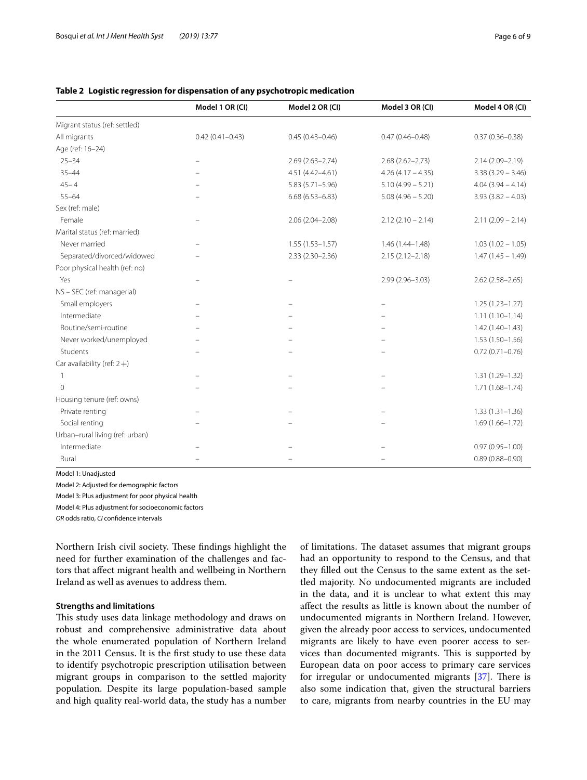|                                 | Model 1 OR (CI)          | Model 2 OR (CI)     | Model 3 OR (CI)      | Model 4 OR (CI)     |
|---------------------------------|--------------------------|---------------------|----------------------|---------------------|
| Migrant status (ref: settled)   |                          |                     |                      |                     |
| All migrants                    | $0.42(0.41 - 0.43)$      | $0.45(0.43 - 0.46)$ | $0.47(0.46 - 0.48)$  | $0.37(0.36 - 0.38)$ |
| Age (ref: 16-24)                |                          |                     |                      |                     |
| $25 - 34$                       |                          | $2.69(2.63 - 2.74)$ | $2.68(2.62 - 2.73)$  | $2.14(2.09 - 2.19)$ |
| $35 - 44$                       |                          | 4.51 (4.42-4.61)    | $4.26(4.17 - 4.35)$  | $3.38(3.29 - 3.46)$ |
| $45 - 4$                        |                          | $5.83(5.71 - 5.96)$ | $5.10(4.99 - 5.21)$  | $4.04(3.94 - 4.14)$ |
| $55 - 64$                       |                          | $6.68(6.53 - 6.83)$ | $5.08(4.96 - 5.20)$  | $3.93(3.82 - 4.03)$ |
| Sex (ref: male)                 |                          |                     |                      |                     |
| Female                          |                          | $2.06(2.04 - 2.08)$ | $2.12$ (2.10 - 2.14) | $2.11(2.09 - 2.14)$ |
| Marital status (ref: married)   |                          |                     |                      |                     |
| Never married                   |                          | $1.55(1.53 - 1.57)$ | $1.46(1.44 - 1.48)$  | $1.03(1.02 - 1.05)$ |
| Separated/divorced/widowed      |                          | $2.33(2.30-2.36)$   | $2.15(2.12 - 2.18)$  | $1.47(1.45 - 1.49)$ |
| Poor physical health (ref: no)  |                          |                     |                      |                     |
| Yes                             |                          |                     | 2.99 (2.96-3.03)     | $2.62(2.58 - 2.65)$ |
| NS - SEC (ref: managerial)      |                          |                     |                      |                     |
| Small employers                 |                          |                     |                      | $1.25(1.23 - 1.27)$ |
| Intermediate                    |                          |                     |                      | $1.11(1.10-1.14)$   |
| Routine/semi-routine            |                          |                     |                      | $1.42(1.40 - 1.43)$ |
| Never worked/unemployed         |                          |                     |                      | $1.53(1.50-1.56)$   |
| Students                        |                          |                     |                      | $0.72(0.71 - 0.76)$ |
| Car availability (ref: $2+$ )   |                          |                     |                      |                     |
|                                 |                          |                     |                      | $1.31(1.29 - 1.32)$ |
| $\Omega$                        |                          |                     |                      | $1.71(1.68 - 1.74)$ |
| Housing tenure (ref: owns)      |                          |                     |                      |                     |
| Private renting                 |                          |                     |                      | $1.33(1.31 - 1.36)$ |
| Social renting                  |                          |                     |                      | $1.69(1.66 - 1.72)$ |
| Urban-rural living (ref: urban) |                          |                     |                      |                     |
| Intermediate                    | $\overline{\phantom{0}}$ |                     |                      | $0.97(0.95 - 1.00)$ |

Rural – – – 0.89 (0.88–0.90)

<span id="page-5-0"></span>**Table 2 Logistic regression for dispensation of any psychotropic medication**

Model 1: Unadjusted

Model 2: Adjusted for demographic factors

Model 3: Plus adjustment for poor physical health

Model 4: Plus adjustment for socioeconomic factors

*OR* odds ratio, *CI* confdence intervals

Northern Irish civil society. These findings highlight the need for further examination of the challenges and factors that afect migrant health and wellbeing in Northern Ireland as well as avenues to address them.

#### **Strengths and limitations**

This study uses data linkage methodology and draws on robust and comprehensive administrative data about the whole enumerated population of Northern Ireland in the 2011 Census. It is the frst study to use these data to identify psychotropic prescription utilisation between migrant groups in comparison to the settled majority population. Despite its large population-based sample and high quality real-world data, the study has a number of limitations. The dataset assumes that migrant groups had an opportunity to respond to the Census, and that they flled out the Census to the same extent as the settled majority. No undocumented migrants are included in the data, and it is unclear to what extent this may afect the results as little is known about the number of undocumented migrants in Northern Ireland. However, given the already poor access to services, undocumented migrants are likely to have even poorer access to services than documented migrants. This is supported by European data on poor access to primary care services for irregular or undocumented migrants  $[37]$  $[37]$  $[37]$ . There is also some indication that, given the structural barriers to care, migrants from nearby countries in the EU may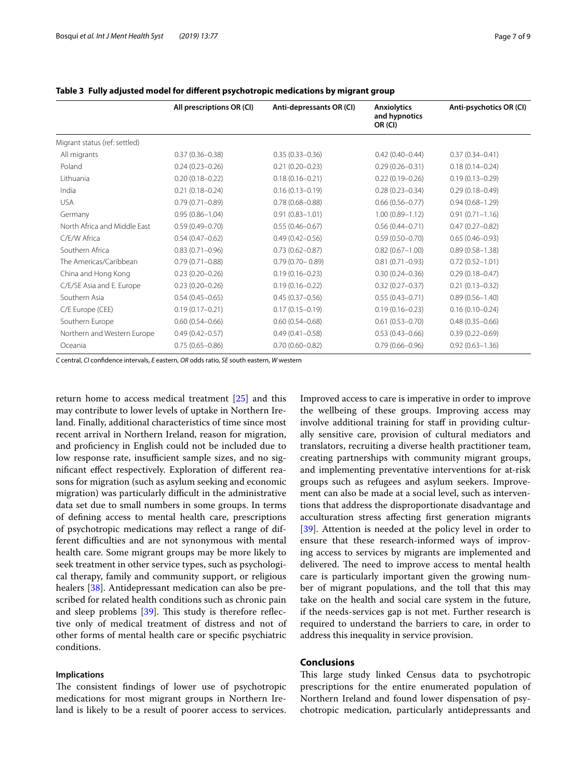|                               | All prescriptions OR (CI) | Anti-depressants OR (CI) | <b>Anxiolytics</b><br>and hypnotics<br>OR (CI) | Anti-psychotics OR (CI) |
|-------------------------------|---------------------------|--------------------------|------------------------------------------------|-------------------------|
| Migrant status (ref: settled) |                           |                          |                                                |                         |
| All migrants                  | $0.37(0.36 - 0.38)$       | $0.35(0.33 - 0.36)$      | $0.42(0.40 - 0.44)$                            | $0.37(0.34 - 0.41)$     |
| Poland                        | $0.24(0.23 - 0.26)$       | $0.21(0.20 - 0.23)$      | $0.29(0.26 - 0.31)$                            | $0.18(0.14 - 0.24)$     |
| Lithuania                     | $0.20(0.18 - 0.22)$       | $0.18(0.16 - 0.21)$      | $0.22(0.19 - 0.26)$                            | $0.19(0.13 - 0.29)$     |
| India                         | $0.21(0.18 - 0.24)$       | $0.16(0.13 - 0.19)$      | $0.28(0.23 - 0.34)$                            | $0.29(0.18 - 0.49)$     |
| <b>USA</b>                    | $0.79(0.71 - 0.89)$       | $0.78(0.68 - 0.88)$      | $0.66(0.56 - 0.77)$                            | $0.94(0.68 - 1.29)$     |
| Germany                       | $0.95(0.86 - 1.04)$       | $0.91(0.83 - 1.01)$      | $1.00(0.89 - 1.12)$                            | $0.91(0.71 - 1.16)$     |
| North Africa and Middle East  | $0.59(0.49 - 0.70)$       | $0.55(0.46 - 0.67)$      | $0.56(0.44 - 0.71)$                            | $0.47(0.27 - 0.82)$     |
| C/E/W Africa                  | $0.54(0.47 - 0.62)$       | $0.49(0.42 - 0.56)$      | $0.59(0.50 - 0.70)$                            | $0.65(0.46 - 0.93)$     |
| Southern Africa               | $0.83(0.71 - 0.96)$       | $0.73(0.62 - 0.87)$      | $0.82(0.67 - 1.00)$                            | $0.89(0.58 - 1.38)$     |
| The Americas/Caribbean        | $0.79(0.71 - 0.88)$       | $0.79(0.70 - 0.89)$      | $0.81(0.71 - 0.93)$                            | $0.72(0.52 - 1.01)$     |
| China and Hong Kong           | $0.23(0.20 - 0.26)$       | $0.19(0.16 - 0.23)$      | $0.30(0.24 - 0.36)$                            | $0.29(0.18 - 0.47)$     |
| C/E/SE Asia and E. Europe     | $0.23(0.20 - 0.26)$       | $0.19(0.16 - 0.22)$      | $0.32(0.27 - 0.37)$                            | $0.21(0.13 - 0.32)$     |
| Southern Asia                 | $0.54(0.45 - 0.65)$       | $0.45(0.37 - 0.56)$      | $0.55(0.43 - 0.71)$                            | $0.89(0.56 - 1.40)$     |
| C/E Europe (CEE)              | $0.19(0.17 - 0.21)$       | $0.17(0.15 - 0.19)$      | $0.19(0.16 - 0.23)$                            | $0.16(0.10 - 0.24)$     |
| Southern Europe               | $0.60(0.54 - 0.66)$       | $0.60(0.54 - 0.68)$      | $0.61(0.53 - 0.70)$                            | $0.48(0.35 - 0.66)$     |
| Northern and Western Europe   | $0.49(0.42 - 0.57)$       | $0.49(0.41 - 0.58)$      | $0.53(0.43 - 0.66)$                            | $0.39(0.22 - 0.69)$     |
| Oceania                       | $0.75(0.65 - 0.86)$       | $0.70(0.60 - 0.82)$      | $0.79(0.66 - 0.96)$                            | $0.92(0.63 - 1.36)$     |

#### <span id="page-6-0"></span>**Table 3 Fully adjusted model for diferent psychotropic medications by migrant group**

*C* central, *CI* confdence intervals, *E* eastern, *OR* odds ratio, *SE* south eastern, *W* western

return home to access medical treatment [\[25](#page-8-10)] and this may contribute to lower levels of uptake in Northern Ireland. Finally, additional characteristics of time since most recent arrival in Northern Ireland, reason for migration, and profciency in English could not be included due to low response rate, insufficient sample sizes, and no signifcant efect respectively. Exploration of diferent reasons for migration (such as asylum seeking and economic migration) was particularly difficult in the administrative data set due to small numbers in some groups. In terms of defning access to mental health care, prescriptions of psychotropic medications may refect a range of different difficulties and are not synonymous with mental health care. Some migrant groups may be more likely to seek treatment in other service types, such as psychological therapy, family and community support, or religious healers [[38\]](#page-8-23). Antidepressant medication can also be prescribed for related health conditions such as chronic pain and sleep problems  $[39]$ . This study is therefore reflective only of medical treatment of distress and not of other forms of mental health care or specifc psychiatric conditions.

#### **Implications**

The consistent findings of lower use of psychotropic medications for most migrant groups in Northern Ireland is likely to be a result of poorer access to services. Improved access to care is imperative in order to improve the wellbeing of these groups. Improving access may involve additional training for staff in providing culturally sensitive care, provision of cultural mediators and translators, recruiting a diverse health practitioner team, creating partnerships with community migrant groups, and implementing preventative interventions for at-risk groups such as refugees and asylum seekers. Improvement can also be made at a social level, such as interventions that address the disproportionate disadvantage and acculturation stress afecting frst generation migrants [[39\]](#page-8-24). Attention is needed at the policy level in order to ensure that these research-informed ways of improving access to services by migrants are implemented and delivered. The need to improve access to mental health care is particularly important given the growing number of migrant populations, and the toll that this may take on the health and social care system in the future, if the needs-services gap is not met. Further research is required to understand the barriers to care, in order to address this inequality in service provision.

# **Conclusions**

This large study linked Census data to psychotropic prescriptions for the entire enumerated population of Northern Ireland and found lower dispensation of psychotropic medication, particularly antidepressants and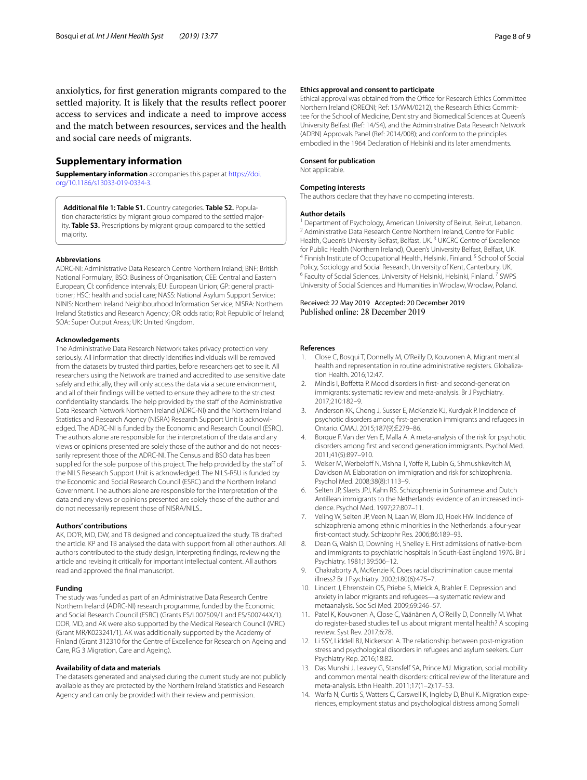anxiolytics, for frst generation migrants compared to the settled majority. It is likely that the results refect poorer access to services and indicate a need to improve access and the match between resources, services and the health and social care needs of migrants.

#### **Supplementary information**

**Supplementary information** accompanies this paper at [https://doi.](https://doi.org/10.1186/s13033-019-0334-3) [org/10.1186/s13033-019-0334-3.](https://doi.org/10.1186/s13033-019-0334-3)

#### <span id="page-7-13"></span>**Additional fle 1: Table S1.** Country categories. **Table S2.** Popula-

tion characteristics by migrant group compared to the settled majority. **Table S3.** Prescriptions by migrant group compared to the settled majority.

#### **Abbreviations**

ADRC-NI: Administrative Data Research Centre Northern Ireland; BNF: British National Formulary; BSO: Business of Organisation; CEE: Central and Eastern European; CI: confdence intervals; EU: European Union; GP: general practitioner; HSC: health and social care; NASS: National Asylum Support Service; NINIS: Northern Ireland Neighbourhood Information Service; NISRA: Northern Ireland Statistics and Research Agency; OR: odds ratio; RoI: Republic of Ireland; SOA: Super Output Areas; UK: United Kingdom.

#### **Acknowledgements**

The Administrative Data Research Network takes privacy protection very seriously. All information that directly identifes individuals will be removed from the datasets by trusted third parties, before researchers get to see it. All researchers using the Network are trained and accredited to use sensitive date safely and ethically, they will only access the data via a secure environment, and all of their fndings will be vetted to ensure they adhere to the strictest confdentiality standards. The help provided by the staf of the Administrative Data Research Network Northern Ireland (ADRC-NI) and the Northern Ireland Statistics and Research Agency (NISRA) Research Support Unit is acknowledged. The ADRC-NI is funded by the Economic and Research Council (ESRC). The authors alone are responsible for the interpretation of the data and any views or opinions presented are solely those of the author and do not necessarily represent those of the ADRC-NI. The Census and BSO data has been supplied for the sole purpose of this project. The help provided by the staff of the NILS Research Support Unit is acknowledged. The NILS-RSU is funded by the Economic and Social Research Council (ESRC) and the Northern Ireland Government. The authors alone are responsible for the interpretation of the data and any views or opinions presented are solely those of the author and do not necessarily represent those of NISRA/NILS..

#### **Authors' contributions**

AK, DO'R, MD, DW, and TB designed and conceptualized the study. TB drafted the article. KP and TB analysed the data with support from all other authors. All authors contributed to the study design, interpreting fndings, reviewing the article and revising it critically for important intellectual content. All authors read and approved the fnal manuscript.

#### **Funding**

The study was funded as part of an Administrative Data Research Centre Northern Ireland (ADRC-NI) research programme, funded by the Economic and Social Research Council (ESRC) (Grants ES/L007509/1 and ES/S00744X/1). DOR, MD, and AK were also supported by the Medical Research Council (MRC) (Grant MR/K023241/1). AK was additionally supported by the Academy of Finland (Grant 312310 for the Centre of Excellence for Research on Ageing and Care, RG 3 Migration, Care and Ageing).

#### **Availability of data and materials**

The datasets generated and analysed during the current study are not publicly available as they are protected by the Northern Ireland Statistics and Research Agency and can only be provided with their review and permission.

Ethical approval was obtained from the Office for Research Ethics Committee Northern Ireland (ORECNI; Ref: 15/WM/0212), the Research Ethics Committee for the School of Medicine, Dentistry and Biomedical Sciences at Queen's University Belfast (Ref: 14/54), and the Administrative Data Research Network (ADRN) Approvals Panel (Ref: 2014/008); and conform to the principles embodied in the 1964 Declaration of Helsinki and its later amendments.

#### **Consent for publication**

Not applicable.

#### **Competing interests**

The authors declare that they have no competing interests.

#### **Author details**

<sup>1</sup> Department of Psychology, American University of Beirut, Beirut, Lebanon.<br><sup>2</sup> Administrative Data Research Centre Northern Ireland, Centre for Public Health, Queen's University Belfast, Belfast, UK.<sup>3</sup> UKCRC Centre of Excellence for Public Health (Northern Ireland), Queen's University Belfast, Belfast, UK.<br><sup>4</sup> Finnish Institute of Occupational Health, Helsinki, Finland. <sup>5</sup> School of Social<br>Policy, Sociology and Social Research, University of Kent  $6$  Faculty of Social Sciences, University of Helsinki, Helsinki, Finland.  $\frac{7}{7}$  SWPS University of Social Sciences and Humanities in Wroclaw, Wroclaw, Poland.

# Received: 22 May 2019 Accepted: 20 December 2019

#### **References**

- <span id="page-7-0"></span>1. Close C, Bosqui T, Donnelly M, O'Reilly D, Kouvonen A. Migrant mental health and representation in routine administrative registers. Globalization Health. 2016;12:47.
- <span id="page-7-1"></span>2. Mindis I, Boffetta P. Mood disorders in first- and second-generation immigrants: systematic review and meta-analysis. Br J Psychiatry. 2017;210:182–9.
- <span id="page-7-2"></span>3. Anderson KK, Cheng J, Susser E, McKenzie KJ, Kurdyak P. Incidence of psychotic disorders among frst-generation immigrants and refugees in Ontario. CMAJ. 2015;187(9):E279–86.
- <span id="page-7-3"></span>4. Borque F, Van der Ven E, Malla A. A meta-analysis of the risk for psychotic disorders among frst and second generation immigrants. Psychol Med. 2011;41(5):897–910.
- <span id="page-7-4"></span>5. Weiser M, Werbeloff N, Vishna T, Yoffe R, Lubin G, Shmushkevitch M, Davidson M. Elaboration on immigration and risk for schizophrenia. Psychol Med. 2008;38(8):1113–9.
- <span id="page-7-5"></span>6. Selten JP, Slaets JPJ, Kahn RS. Schizophrenia in Surinamese and Dutch Antillean immigrants to the Netherlands: evidence of an increased incidence. Psychol Med. 1997;27:807–11.
- <span id="page-7-6"></span>7. Veling W, Selten JP, Veen N, Laan W, Blom JD, Hoek HW. Incidence of schizophrenia among ethnic minorities in the Netherlands: a four-year frst-contact study. Schizophr Res. 2006;86:189–93.
- <span id="page-7-7"></span>8. Dean G, Walsh D, Downing H, Shelley E. First admissions of native-born and immigrants to psychiatric hospitals in South-East England 1976. Br J Psychiatry. 1981;139:506–12.
- <span id="page-7-8"></span>9. Chakraborty A, McKenzie K. Does racial discrimination cause mental illness? Br J Psychiatry. 2002;180(6):475–7.
- <span id="page-7-9"></span>10. Lindert J, Ehrenstein OS, Priebe S, Mielck A, Brahler E. Depression and anxiety in labor migrants and refugees—a systematic review and metaanalysis. Soc Sci Med. 2009;69:246–57.
- <span id="page-7-10"></span>11. Patel K, Kouvonen A, Close C, Väänänen A, O'Reilly D, Donnelly M. What do register-based studies tell us about migrant mental health? A scoping review. Syst Rev. 2017;6:78.
- <span id="page-7-11"></span>12. Li SSY, Liddell BJ, Nickerson A. The relationship between post-migration stress and psychological disorders in refugees and asylum seekers. Curr Psychiatry Rep. 2016;18:82.
- <span id="page-7-12"></span>13. Das Munshi J, Leavey G, Stansfelf SA, Prince MJ. Migration, social mobility and common mental health disorders: critical review of the literature and meta-analysis. Ethn Health. 2011;17(1–2):17–53.
- 14. Warfa N, Curtis S, Watters C, Carswell K, Ingleby D, Bhui K. Migration experiences, employment status and psychological distress among Somali